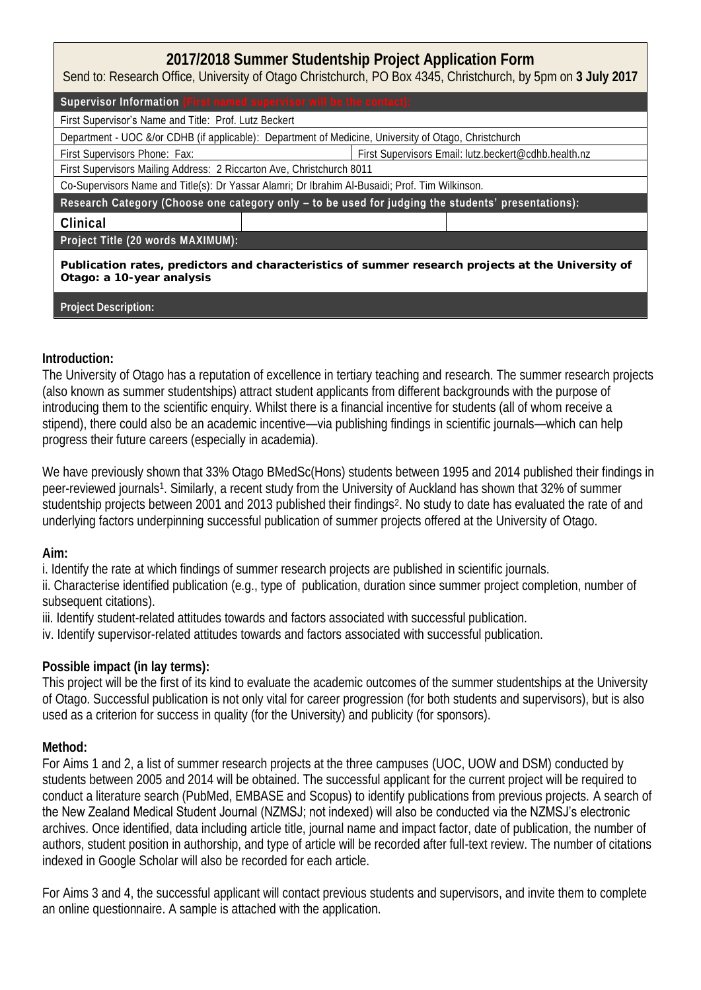# **2017/2018 Summer Studentship Project Application Form**

Send to: Research Office, University of Otago Christchurch, PO Box 4345, Christchurch, by 5pm on **3 July 2017**

Supervisor Information

First Supervisor's Name and Title: Prof. Lutz Beckert

Department - UOC &/or CDHB (if applicable): Department of Medicine, University of Otago, Christchurch

First Supervisors Phone: Fax: First Supervisors Email: lutz.beckert@cdhb.health.nz

First Supervisors Mailing Address: 2 Riccarton Ave, Christchurch 8011

Co-Supervisors Name and Title(s): Dr Yassar Alamri; Dr Ibrahim Al-Busaidi; Prof. Tim Wilkinson.

Research Category (Choose one category only **– to be used for judging the students'** presentations):

#### **Clinical**

**Project Title (20 words MAXIMUM):**

**Publication rates, predictors and characteristics of summer research projects at the University of Otago: a 10-year analysis**

**Project Description:**

#### **Introduction:**

The University of Otago has a reputation of excellence in tertiary teaching and research. The summer research projects (also known as summer studentships) attract student applicants from different backgrounds with the purpose of introducing them to the scientific enquiry. Whilst there is a financial incentive for students (all of whom receive a stipend), there could also be an academic incentive—via publishing findings in scientific journals—which can help progress their future careers (especially in academia).

We have previously shown that 33% Otago BMedSc(Hons) students between 1995 and 2014 published their findings in peer-reviewed journals<sup>1</sup>. Similarly, a recent study from the University of Auckland has shown that 32% of summer studentship projects between 2001 and 2013 published their findings<sup>2</sup>. No study to date has evaluated the rate of and underlying factors underpinning successful publication of summer projects offered at the University of Otago.

## **Aim:**

i. Identify the rate at which findings of summer research projects are published in scientific journals.

ii. Characterise identified publication (e.g., type of publication, duration since summer project completion, number of subsequent citations).

iii. Identify student-related attitudes towards and factors associated with successful publication.

iv. Identify supervisor-related attitudes towards and factors associated with successful publication.

## **Possible impact (in lay terms):**

This project will be the first of its kind to evaluate the academic outcomes of the summer studentships at the University of Otago. Successful publication is not only vital for career progression (for both students and supervisors), but is also used as a criterion for success in quality (for the University) and publicity (for sponsors).

## **Method:**

For Aims 1 and 2, a list of summer research projects at the three campuses (UOC, UOW and DSM) conducted by students between 2005 and 2014 will be obtained. The successful applicant for the current project will be required to conduct a literature search (PubMed, EMBASE and Scopus) to identify publications from previous projects. A search of the New Zealand Medical Student Journal (NZMSJ; not indexed) will also be conducted via the NZMSJ's electronic archives. Once identified, data including article title, journal name and impact factor, date of publication, the number of authors, student position in authorship, and type of article will be recorded after full-text review. The number of citations indexed in Google Scholar will also be recorded for each article.

For Aims 3 and 4, the successful applicant will contact previous students and supervisors, and invite them to complete an online questionnaire. A sample is attached with the application.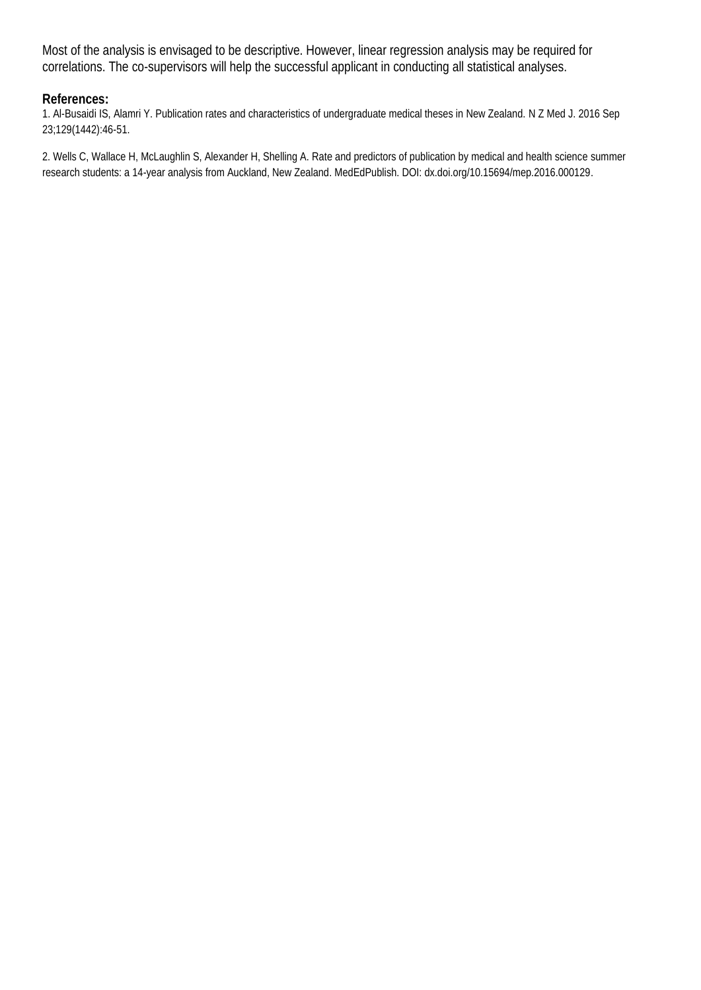Most of the analysis is envisaged to be descriptive. However, linear regression analysis may be required for correlations. The co-supervisors will help the successful applicant in conducting all statistical analyses.

#### **References:**

1. Al-Busaidi IS, Alamri Y. Publication rates and characteristics of undergraduate medical theses in New Zealand. N Z Med J. 2016 Sep 23;129(1442):46-51.

2. Wells C, Wallace H, McLaughlin S, Alexander H, Shelling A. Rate and predictors of publication by medical and health science summer research students: a 14-year analysis from Auckland, New Zealand. MedEdPublish. DOI: dx.doi.org/10.15694/mep.2016.000129.